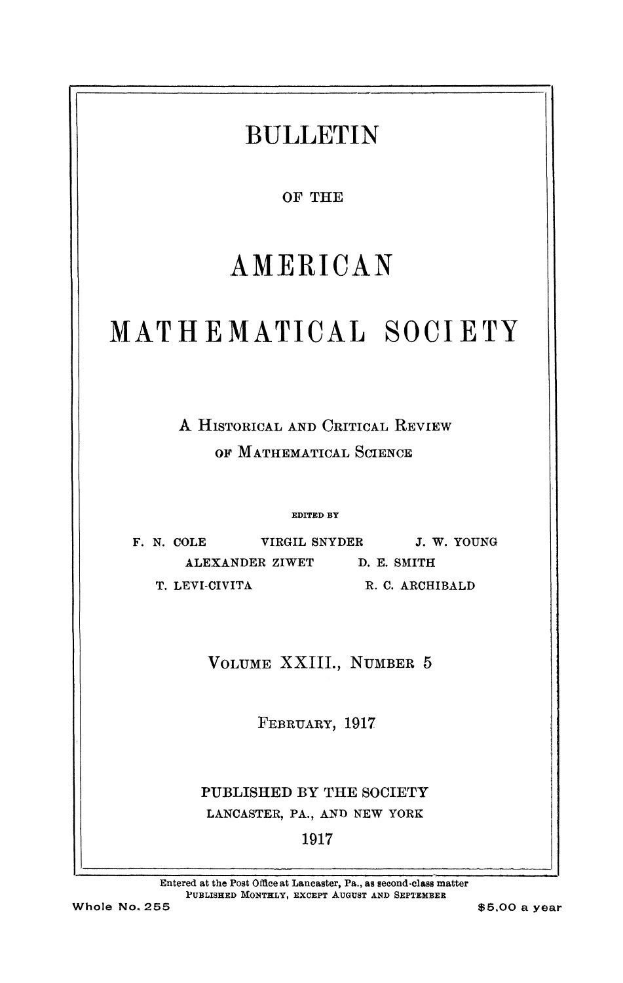